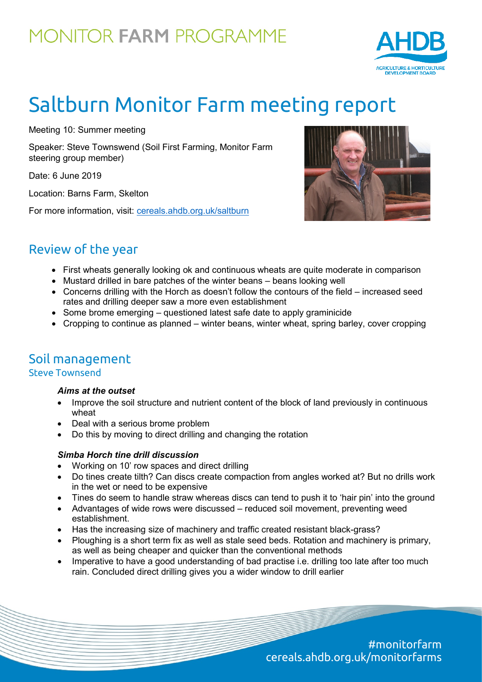## MONITOR FARM PROGRAMME



# Saltburn Monitor Farm meeting report

Meeting 10: Summer meeting

Speaker: Steve Townswend (Soil First Farming, Monitor Farm steering group member)

Date: 6 June 2019

Location: Barns Farm, Skelton

For more information, visit: [cereals.ahdb.org.uk/saltburn](https://cereals.ahdb.org.uk/get-involved/monitorfarms/saltburn-monitor-farm.aspx)



### Review of the year

- First wheats generally looking ok and continuous wheats are quite moderate in comparison
- Mustard drilled in bare patches of the winter beans beans looking well
- Concerns drilling with the Horch as doesn't follow the contours of the field increased seed rates and drilling deeper saw a more even establishment
- Some brome emerging questioned latest safe date to apply graminicide
- Cropping to continue as planned winter beans, winter wheat, spring barley, cover cropping

### Soil management

#### Steve Townsend

#### *Aims at the outset*

- Improve the soil structure and nutrient content of the block of land previously in continuous wheat
- Deal with a serious brome problem
- Do this by moving to direct drilling and changing the rotation

#### *Simba Horch tine drill discussion*

- Working on 10' row spaces and direct drilling
- Do tines create tilth? Can discs create compaction from angles worked at? But no drills work in the wet or need to be expensive
- Tines do seem to handle straw whereas discs can tend to push it to 'hair pin' into the ground
- Advantages of wide rows were discussed reduced soil movement, preventing weed establishment.
- Has the increasing size of machinery and traffic created resistant black-grass?
- Ploughing is a short term fix as well as stale seed beds. Rotation and machinery is primary, as well as being cheaper and quicker than the conventional methods
- Imperative to have a good understanding of bad practise i.e. drilling too late after too much rain. Concluded direct drilling gives you a wider window to drill earlier

#monitorfarm cereals.ahdb.org.uk/monitorfarms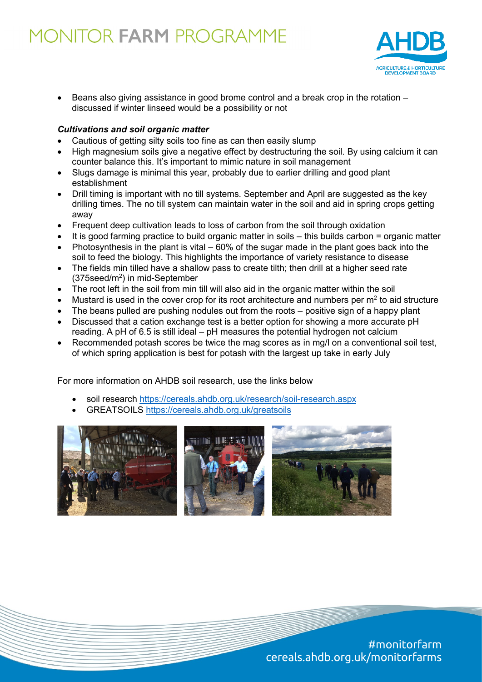## MONITOR FARM PROGRAMME



Beans also giving assistance in good brome control and a break crop in the rotation – discussed if winter linseed would be a possibility or not

#### *Cultivations and soil organic matter*

- Cautious of getting silty soils too fine as can then easily slump
- High magnesium soils give a negative effect by destructuring the soil. By using calcium it can counter balance this. It's important to mimic nature in soil management
- Slugs damage is minimal this year, probably due to earlier drilling and good plant establishment
- Drill timing is important with no till systems. September and April are suggested as the key drilling times. The no till system can maintain water in the soil and aid in spring crops getting away
- Frequent deep cultivation leads to loss of carbon from the soil through oxidation
- It is good farming practice to build organic matter in soils this builds carbon = organic matter
- Photosynthesis in the plant is vital  $-60\%$  of the sugar made in the plant goes back into the soil to feed the biology. This highlights the importance of variety resistance to disease
- The fields min tilled have a shallow pass to create tilth; then drill at a higher seed rate (375seed/m<sup>2</sup>) in mid-September
- The root left in the soil from min till will also aid in the organic matter within the soil
- Mustard is used in the cover crop for its root architecture and numbers per  $m<sup>2</sup>$  to aid structure
- The beans pulled are pushing nodules out from the roots positive sign of a happy plant
- Discussed that a cation exchange test is a better option for showing a more accurate pH reading. A pH of 6.5 is still ideal – pH measures the potential hydrogen not calcium
- Recommended potash scores be twice the mag scores as in mg/l on a conventional soil test, of which spring application is best for potash with the largest up take in early July

For more information on AHDB soil research, use the links below

- soil research<https://cereals.ahdb.org.uk/research/soil-research.aspx>
- GREATSOILS<https://cereals.ahdb.org.uk/greatsoils>



#monitorfarm cereals.ahdb.org.uk/monitorfarms